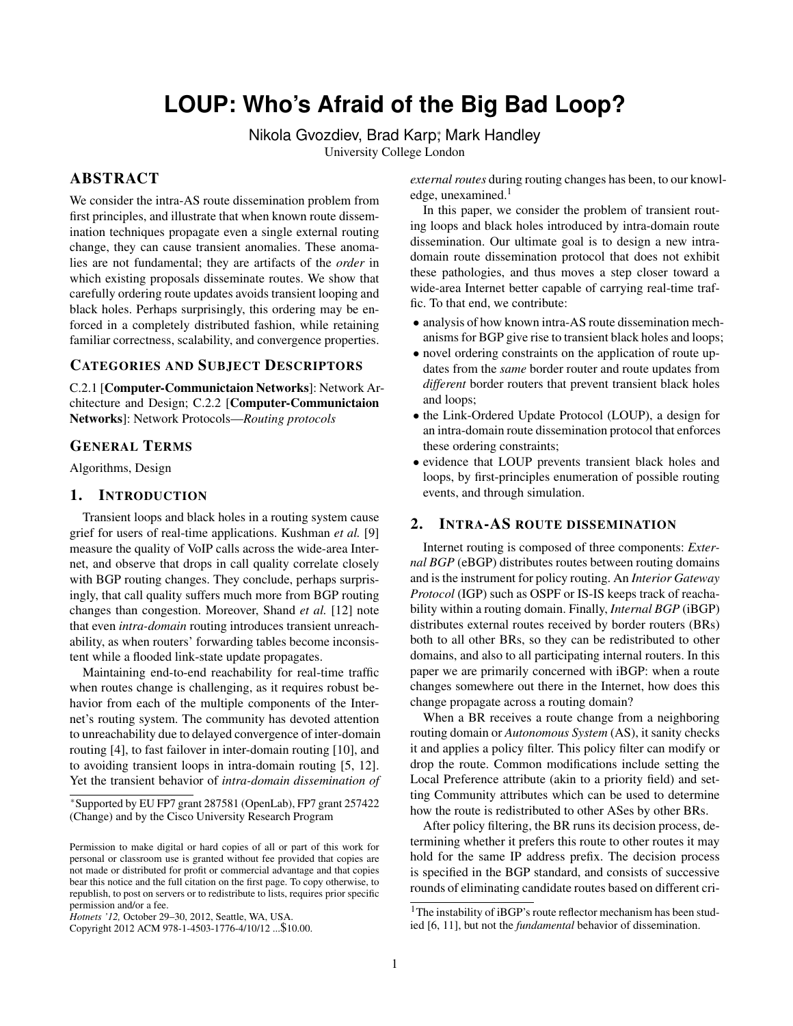# **LOUP: Who's Afraid of the Big Bad Loop?**

Nikola Gvozdiev, Brad Karp<sup>∗</sup> , Mark Handley

University College London

## ABSTRACT

We consider the intra-AS route dissemination problem from first principles, and illustrate that when known route dissemination techniques propagate even a single external routing change, they can cause transient anomalies. These anomalies are not fundamental; they are artifacts of the *order* in which existing proposals disseminate routes. We show that carefully ordering route updates avoids transient looping and black holes. Perhaps surprisingly, this ordering may be enforced in a completely distributed fashion, while retaining familiar correctness, scalability, and convergence properties.

## CATEGORIES AND SUBJECT DESCRIPTORS

C.2.1 [Computer-Communictaion Networks]: Network Architecture and Design; C.2.2 [Computer-Communictaion Networks]: Network Protocols—*Routing protocols*

## GENERAL TERMS

Algorithms, Design

### 1. INTRODUCTION

Transient loops and black holes in a routing system cause grief for users of real-time applications. Kushman *et al.* [9] measure the quality of VoIP calls across the wide-area Internet, and observe that drops in call quality correlate closely with BGP routing changes. They conclude, perhaps surprisingly, that call quality suffers much more from BGP routing changes than congestion. Moreover, Shand *et al.* [12] note that even *intra-domain* routing introduces transient unreachability, as when routers' forwarding tables become inconsistent while a flooded link-state update propagates.

Maintaining end-to-end reachability for real-time traffic when routes change is challenging, as it requires robust behavior from each of the multiple components of the Internet's routing system. The community has devoted attention to unreachability due to delayed convergence of inter-domain routing [4], to fast failover in inter-domain routing [10], and to avoiding transient loops in intra-domain routing [5, 12]. Yet the transient behavior of *intra-domain dissemination of* *external routes* during routing changes has been, to our knowledge, unexamined. $<sup>1</sup>$ </sup>

In this paper, we consider the problem of transient routing loops and black holes introduced by intra-domain route dissemination. Our ultimate goal is to design a new intradomain route dissemination protocol that does not exhibit these pathologies, and thus moves a step closer toward a wide-area Internet better capable of carrying real-time traffic. To that end, we contribute:

- analysis of how known intra-AS route dissemination mechanisms for BGP give rise to transient black holes and loops;
- novel ordering constraints on the application of route updates from the *same* border router and route updates from *different* border routers that prevent transient black holes and loops;
- the Link-Ordered Update Protocol (LOUP), a design for an intra-domain route dissemination protocol that enforces these ordering constraints;
- evidence that LOUP prevents transient black holes and loops, by first-principles enumeration of possible routing events, and through simulation.

## 2. INTRA-AS ROUTE DISSEMINATION

Internet routing is composed of three components: *External BGP* (eBGP) distributes routes between routing domains and is the instrument for policy routing. An *Interior Gateway Protocol* (IGP) such as OSPF or IS-IS keeps track of reachability within a routing domain. Finally, *Internal BGP* (iBGP) distributes external routes received by border routers (BRs) both to all other BRs, so they can be redistributed to other domains, and also to all participating internal routers. In this paper we are primarily concerned with iBGP: when a route changes somewhere out there in the Internet, how does this change propagate across a routing domain?

When a BR receives a route change from a neighboring routing domain or *Autonomous System* (AS), it sanity checks it and applies a policy filter. This policy filter can modify or drop the route. Common modifications include setting the Local Preference attribute (akin to a priority field) and setting Community attributes which can be used to determine how the route is redistributed to other ASes by other BRs.

After policy filtering, the BR runs its decision process, determining whether it prefers this route to other routes it may hold for the same IP address prefix. The decision process is specified in the BGP standard, and consists of successive rounds of eliminating candidate routes based on different cri-

<sup>∗</sup>Supported by EU FP7 grant 287581 (OpenLab), FP7 grant 257422 (Change) and by the Cisco University Research Program

Permission to make digital or hard copies of all or part of this work for personal or classroom use is granted without fee provided that copies are not made or distributed for profit or commercial advantage and that copies bear this notice and the full citation on the first page. To copy otherwise, to republish, to post on servers or to redistribute to lists, requires prior specific permission and/or a fee.

*Hotnets '12,* October 29–30, 2012, Seattle, WA, USA.

Copyright 2012 ACM 978-1-4503-1776-4/10/12 ...\$10.00.

<sup>&</sup>lt;sup>1</sup>The instability of iBGP's route reflector mechanism has been studied [6, 11], but not the *fundamental* behavior of dissemination.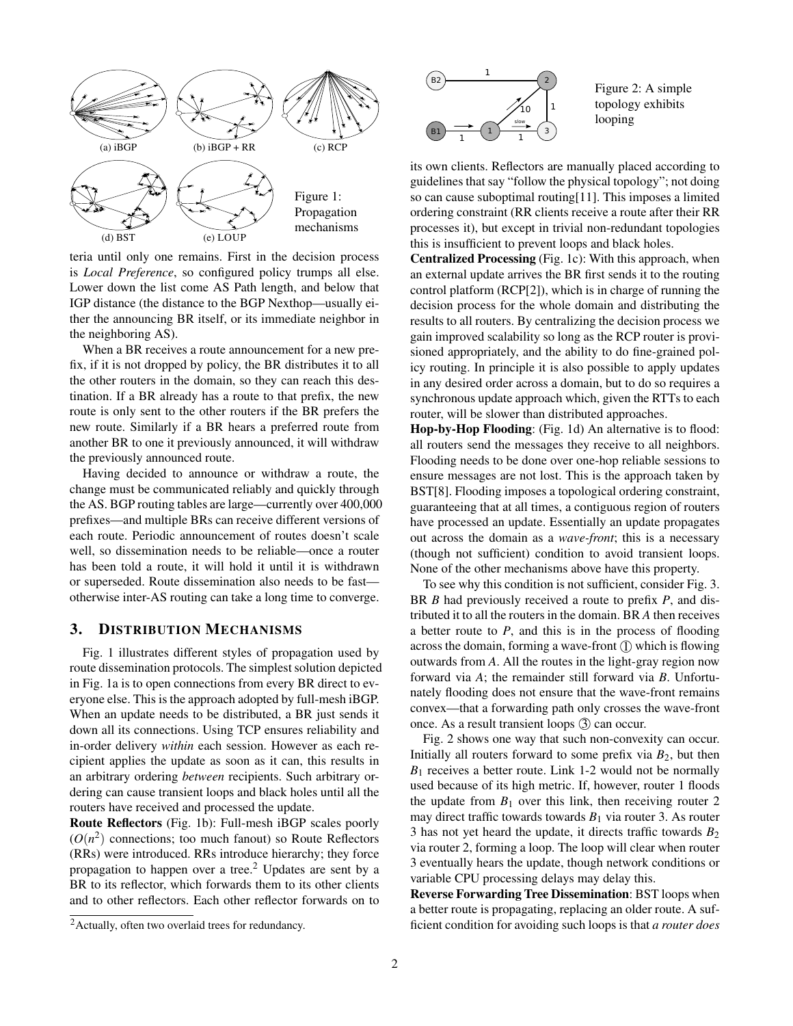

teria until only one remains. First in the decision process is *Local Preference*, so configured policy trumps all else. Lower down the list come AS Path length, and below that IGP distance (the distance to the BGP Nexthop—usually either the announcing BR itself, or its immediate neighbor in the neighboring AS).

When a BR receives a route announcement for a new prefix, if it is not dropped by policy, the BR distributes it to all the other routers in the domain, so they can reach this destination. If a BR already has a route to that prefix, the new route is only sent to the other routers if the BR prefers the new route. Similarly if a BR hears a preferred route from another BR to one it previously announced, it will withdraw the previously announced route.

Having decided to announce or withdraw a route, the change must be communicated reliably and quickly through the AS. BGP routing tables are large—currently over 400,000 prefixes—and multiple BRs can receive different versions of each route. Periodic announcement of routes doesn't scale well, so dissemination needs to be reliable—once a router has been told a route, it will hold it until it is withdrawn or superseded. Route dissemination also needs to be fast otherwise inter-AS routing can take a long time to converge.

## 3. DISTRIBUTION MECHANISMS

Fig. 1 illustrates different styles of propagation used by route dissemination protocols. The simplest solution depicted in Fig. 1a is to open connections from every BR direct to everyone else. This is the approach adopted by full-mesh iBGP. When an update needs to be distributed, a BR just sends it down all its connections. Using TCP ensures reliability and in-order delivery *within* each session. However as each recipient applies the update as soon as it can, this results in an arbitrary ordering *between* recipients. Such arbitrary ordering can cause transient loops and black holes until all the routers have received and processed the update.

Route Reflectors (Fig. 1b): Full-mesh iBGP scales poorly  $(O(n^2))$  connections; too much fanout) so Route Reflectors (RRs) were introduced. RRs introduce hierarchy; they force propagation to happen over a tree.<sup>2</sup> Updates are sent by a BR to its reflector, which forwards them to its other clients and to other reflectors. Each other reflector forwards on to



Figure 2: A simple topology exhibits looping

its own clients. Reflectors are manually placed according to guidelines that say "follow the physical topology"; not doing so can cause suboptimal routing[11]. This imposes a limited ordering constraint (RR clients receive a route after their RR processes it), but except in trivial non-redundant topologies this is insufficient to prevent loops and black holes.

Centralized Processing (Fig. 1c): With this approach, when an external update arrives the BR first sends it to the routing control platform (RCP[2]), which is in charge of running the decision process for the whole domain and distributing the results to all routers. By centralizing the decision process we gain improved scalability so long as the RCP router is provisioned appropriately, and the ability to do fine-grained policy routing. In principle it is also possible to apply updates in any desired order across a domain, but to do so requires a synchronous update approach which, given the RTTs to each router, will be slower than distributed approaches.

Hop-by-Hop Flooding: (Fig. 1d) An alternative is to flood: all routers send the messages they receive to all neighbors. Flooding needs to be done over one-hop reliable sessions to ensure messages are not lost. This is the approach taken by BST[8]. Flooding imposes a topological ordering constraint, guaranteeing that at all times, a contiguous region of routers have processed an update. Essentially an update propagates out across the domain as a *wave-front*; this is a necessary (though not sufficient) condition to avoid transient loops. None of the other mechanisms above have this property.

To see why this condition is not sufficient, consider Fig. 3. BR *B* had previously received a route to prefix *P*, and distributed it to all the routers in the domain. BR *A* then receives a better route to *P*, and this is in the process of flooding across the domain, forming a wave-front  $(1)$  which is flowing outwards from *A*. All the routes in the light-gray region now forward via *A*; the remainder still forward via *B*. Unfortunately flooding does not ensure that the wave-front remains convex—that a forwarding path only crosses the wave-front once. As a result transient loops 3 can occur.

Fig. 2 shows one way that such non-convexity can occur. Initially all routers forward to some prefix via  $B_2$ , but then  $B_1$  receives a better route. Link 1-2 would not be normally used because of its high metric. If, however, router 1 floods the update from  $B_1$  over this link, then receiving router 2 may direct traffic towards towards  $B_1$  via router 3. As router 3 has not yet heard the update, it directs traffic towards  $B_2$ via router 2, forming a loop. The loop will clear when router 3 eventually hears the update, though network conditions or variable CPU processing delays may delay this.

Reverse Forwarding Tree Dissemination: BST loops when a better route is propagating, replacing an older route. A sufficient condition for avoiding such loops is that *a router does*

<sup>&</sup>lt;sup>2</sup> Actually, often two overlaid trees for redundancy.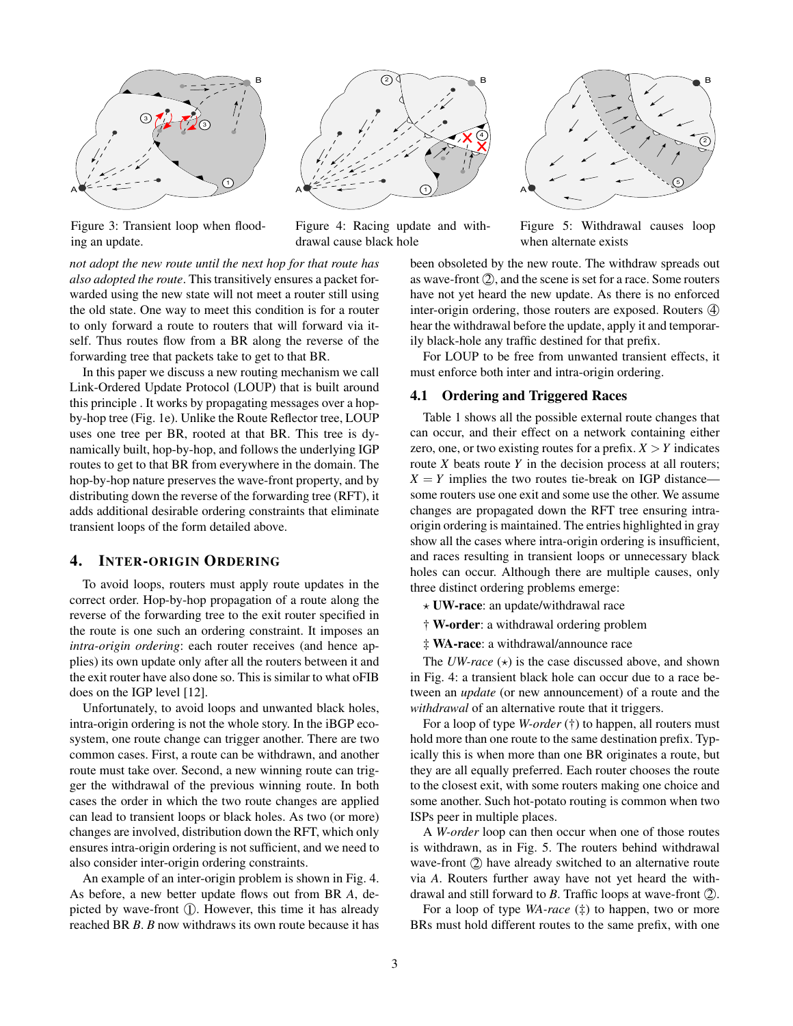



Figure 4: Racing update and withdrawal cause black hole



Figure 5: Withdrawal causes loop when alternate exists

been obsoleted by the new route. The withdraw spreads out as wave-front  $(2)$ , and the scene is set for a race. Some routers have not yet heard the new update. As there is no enforced inter-origin ordering, those routers are exposed. Routers 4 hear the withdrawal before the update, apply it and temporarily black-hole any traffic destined for that prefix.

For LOUP to be free from unwanted transient effects, it must enforce both inter and intra-origin ordering.

#### 4.1 Ordering and Triggered Races

Table 1 shows all the possible external route changes that can occur, and their effect on a network containing either zero, one, or two existing routes for a prefix.  $X > Y$  indicates route *X* beats route *Y* in the decision process at all routers;  $X = Y$  implies the two routes tie-break on IGP distance some routers use one exit and some use the other. We assume changes are propagated down the RFT tree ensuring intraorigin ordering is maintained. The entries highlighted in gray show all the cases where intra-origin ordering is insufficient, and races resulting in transient loops or unnecessary black holes can occur. Although there are multiple causes, only three distinct ordering problems emerge:

- $\star$  UW-race: an update/withdrawal race
- † W-order: a withdrawal ordering problem
- ‡ WA-race: a withdrawal/announce race

The *UW-race*  $(\star)$  is the case discussed above, and shown in Fig. 4: a transient black hole can occur due to a race between an *update* (or new announcement) of a route and the *withdrawal* of an alternative route that it triggers.

For a loop of type *W-order* (†) to happen, all routers must hold more than one route to the same destination prefix. Typically this is when more than one BR originates a route, but they are all equally preferred. Each router chooses the route to the closest exit, with some routers making one choice and some another. Such hot-potato routing is common when two ISPs peer in multiple places.

A *W-order* loop can then occur when one of those routes is withdrawn, as in Fig. 5. The routers behind withdrawal wave-front  $(2)$  have already switched to an alternative route via *A*. Routers further away have not yet heard the withdrawal and still forward to  $B$ . Traffic loops at wave-front  $(2)$ .

For a loop of type *WA-race* (‡) to happen, two or more BRs must hold different routes to the same prefix, with one

Figure 3: Transient loop when flooding an update.

*not adopt the new route until the next hop for that route has also adopted the route*. This transitively ensures a packet forwarded using the new state will not meet a router still using the old state. One way to meet this condition is for a router to only forward a route to routers that will forward via itself. Thus routes flow from a BR along the reverse of the forwarding tree that packets take to get to that BR.

In this paper we discuss a new routing mechanism we call Link-Ordered Update Protocol (LOUP) that is built around this principle . It works by propagating messages over a hopby-hop tree (Fig. 1e). Unlike the Route Reflector tree, LOUP uses one tree per BR, rooted at that BR. This tree is dynamically built, hop-by-hop, and follows the underlying IGP routes to get to that BR from everywhere in the domain. The hop-by-hop nature preserves the wave-front property, and by distributing down the reverse of the forwarding tree (RFT), it adds additional desirable ordering constraints that eliminate transient loops of the form detailed above.

## 4. INTER-ORIGIN ORDERING

To avoid loops, routers must apply route updates in the correct order. Hop-by-hop propagation of a route along the reverse of the forwarding tree to the exit router specified in the route is one such an ordering constraint. It imposes an *intra-origin ordering*: each router receives (and hence applies) its own update only after all the routers between it and the exit router have also done so. This is similar to what oFIB does on the IGP level [12].

Unfortunately, to avoid loops and unwanted black holes, intra-origin ordering is not the whole story. In the iBGP ecosystem, one route change can trigger another. There are two common cases. First, a route can be withdrawn, and another route must take over. Second, a new winning route can trigger the withdrawal of the previous winning route. In both cases the order in which the two route changes are applied can lead to transient loops or black holes. As two (or more) changes are involved, distribution down the RFT, which only ensures intra-origin ordering is not sufficient, and we need to also consider inter-origin ordering constraints.

An example of an inter-origin problem is shown in Fig. 4. As before, a new better update flows out from BR *A*, depicted by wave-front  $(1)$ . However, this time it has already reached BR *B*. *B* now withdraws its own route because it has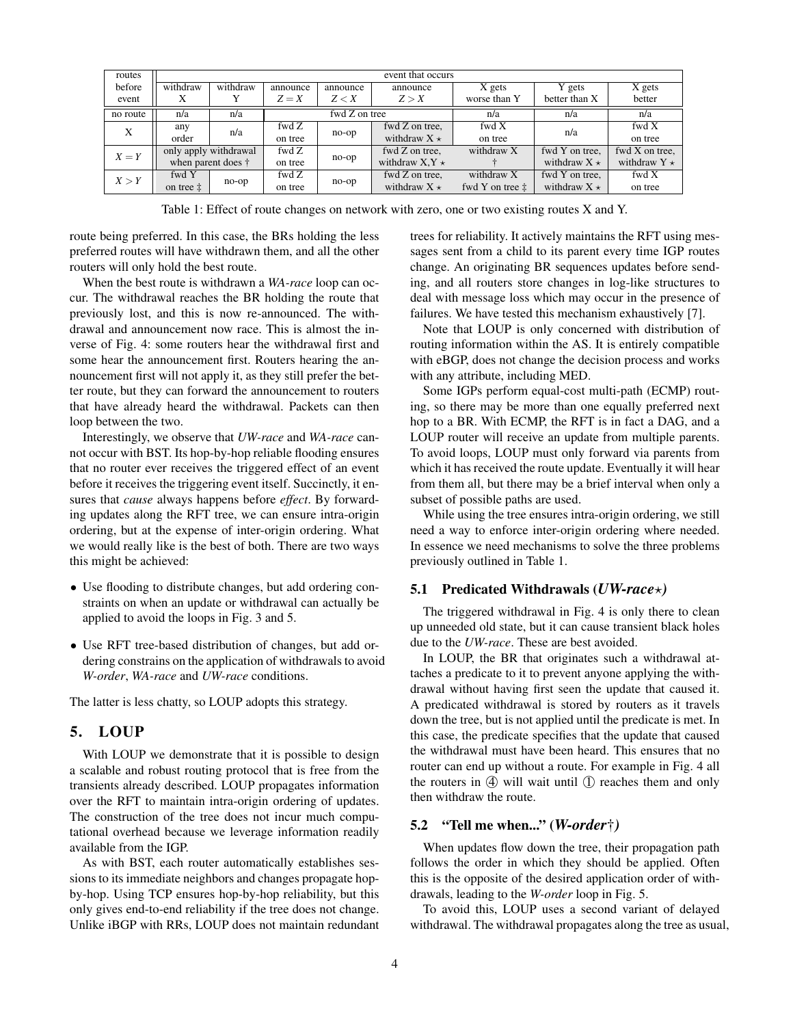| routes   | event that occurs          |                       |               |          |                       |                          |                    |                    |
|----------|----------------------------|-----------------------|---------------|----------|-----------------------|--------------------------|--------------------|--------------------|
| before   | withdraw                   | withdraw              | announce      | announce | announce              | X gets                   | Y gets             | X gets             |
| event    | Χ                          |                       | $Z = X$       | Z < X    | Z > X                 | worse than Y             | better than X      | better             |
| no route | n/a                        | n/a                   | fwd Z on tree |          |                       | n/a                      | n/a                | n/a                |
| X        | any                        | n/a                   | fwd Z         | no-op    | fwd Z on tree,        | fwd X                    | n/a                | fwd X              |
|          | order                      |                       | on tree       |          | withdraw $X \star$    | on tree                  |                    | on tree            |
| $X = Y$  |                            | only apply withdrawal |               | no-op    | fwd Z on tree.        | withdraw X               | fwd Y on tree.     | fwd X on tree,     |
|          | when parent does $\dagger$ |                       | on tree       |          | withdraw $X, Y \star$ |                          | withdraw $X \star$ | withdraw $Y \star$ |
| X > Y    | fwd Y                      | $no$ -op              | fwd Z         | no-op    | fwd Z on tree.        | withdraw X               | fwd Y on tree.     | fwd X              |
|          | on tree $\ddagger$         |                       | on tree       |          | withdraw $X \star$    | fwd Y on tree $\ddagger$ | withdraw $X \star$ | on tree            |

Table 1: Effect of route changes on network with zero, one or two existing routes X and Y.

route being preferred. In this case, the BRs holding the less preferred routes will have withdrawn them, and all the other routers will only hold the best route.

When the best route is withdrawn a *WA-race* loop can occur. The withdrawal reaches the BR holding the route that previously lost, and this is now re-announced. The withdrawal and announcement now race. This is almost the inverse of Fig. 4: some routers hear the withdrawal first and some hear the announcement first. Routers hearing the announcement first will not apply it, as they still prefer the better route, but they can forward the announcement to routers that have already heard the withdrawal. Packets can then loop between the two.

Interestingly, we observe that *UW-race* and *WA-race* cannot occur with BST. Its hop-by-hop reliable flooding ensures that no router ever receives the triggered effect of an event before it receives the triggering event itself. Succinctly, it ensures that *cause* always happens before *effect*. By forwarding updates along the RFT tree, we can ensure intra-origin ordering, but at the expense of inter-origin ordering. What we would really like is the best of both. There are two ways this might be achieved:

- Use flooding to distribute changes, but add ordering constraints on when an update or withdrawal can actually be applied to avoid the loops in Fig. 3 and 5.
- Use RFT tree-based distribution of changes, but add ordering constrains on the application of withdrawals to avoid *W-order*, *WA-race* and *UW-race* conditions.

The latter is less chatty, so LOUP adopts this strategy.

### 5. LOUP

With LOUP we demonstrate that it is possible to design a scalable and robust routing protocol that is free from the transients already described. LOUP propagates information over the RFT to maintain intra-origin ordering of updates. The construction of the tree does not incur much computational overhead because we leverage information readily available from the IGP.

As with BST, each router automatically establishes sessions to its immediate neighbors and changes propagate hopby-hop. Using TCP ensures hop-by-hop reliability, but this only gives end-to-end reliability if the tree does not change. Unlike iBGP with RRs, LOUP does not maintain redundant

trees for reliability. It actively maintains the RFT using messages sent from a child to its parent every time IGP routes change. An originating BR sequences updates before sending, and all routers store changes in log-like structures to deal with message loss which may occur in the presence of failures. We have tested this mechanism exhaustively [7].

Note that LOUP is only concerned with distribution of routing information within the AS. It is entirely compatible with eBGP, does not change the decision process and works with any attribute, including MED.

Some IGPs perform equal-cost multi-path (ECMP) routing, so there may be more than one equally preferred next hop to a BR. With ECMP, the RFT is in fact a DAG, and a LOUP router will receive an update from multiple parents. To avoid loops, LOUP must only forward via parents from which it has received the route update. Eventually it will hear from them all, but there may be a brief interval when only a subset of possible paths are used.

While using the tree ensures intra-origin ordering, we still need a way to enforce inter-origin ordering where needed. In essence we need mechanisms to solve the three problems previously outlined in Table 1.

#### 5.1 Predicated Withdrawals (*UW-race*<sup>\*</sup>)

The triggered withdrawal in Fig. 4 is only there to clean up unneeded old state, but it can cause transient black holes due to the *UW-race*. These are best avoided.

In LOUP, the BR that originates such a withdrawal attaches a predicate to it to prevent anyone applying the withdrawal without having first seen the update that caused it. A predicated withdrawal is stored by routers as it travels down the tree, but is not applied until the predicate is met. In this case, the predicate specifies that the update that caused the withdrawal must have been heard. This ensures that no router can end up without a route. For example in Fig. 4 all the routers in  $(4)$  will wait until  $(1)$  reaches them and only then withdraw the route.

## 5.2 "Tell me when..." (*W-order*†*)*

When updates flow down the tree, their propagation path follows the order in which they should be applied. Often this is the opposite of the desired application order of withdrawals, leading to the *W-order* loop in Fig. 5.

To avoid this, LOUP uses a second variant of delayed withdrawal. The withdrawal propagates along the tree as usual,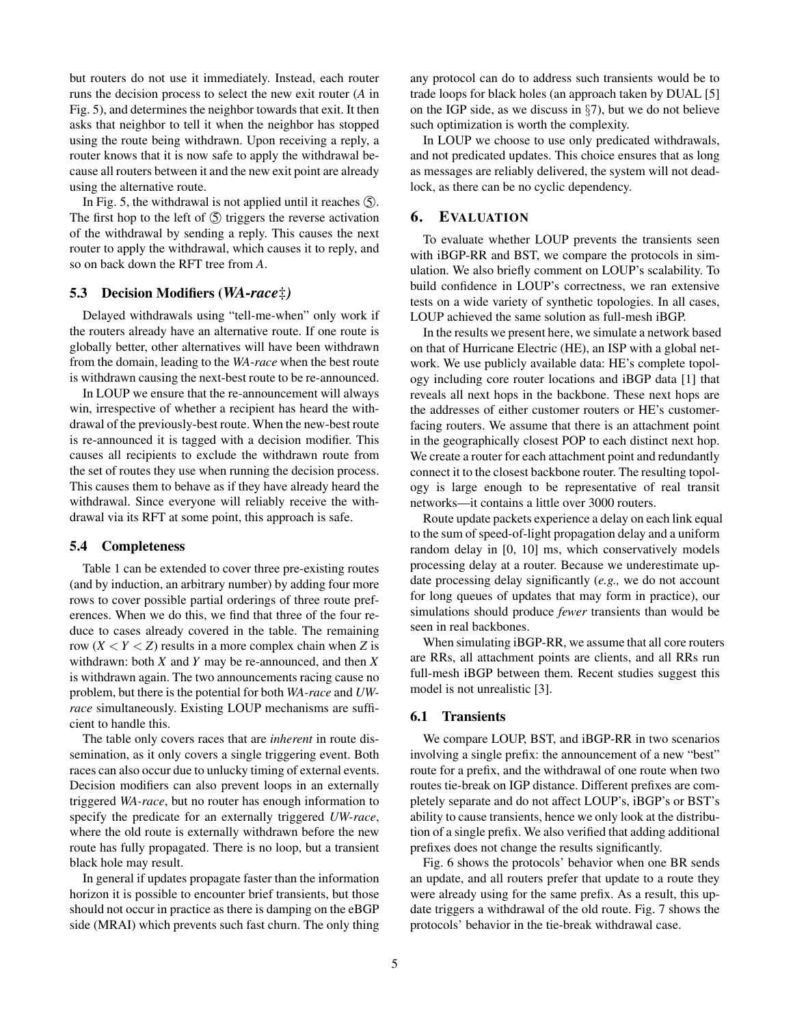but routers do not use it immediately. Instead, each router runs the decision process to select the new exit router (*A* in Fig. 5), and determines the neighbor towards that exit. It then asks that neighbor to tell it when the neighbor has stopped using the route being withdrawn. Upon receiving a reply, a router knows that it is now safe to apply the withdrawal because all routers between it and the new exit point are already using the alternative route.

In Fig. 5, the withdrawal is not applied until it reaches  $(5)$ . The first hop to the left of  $(5)$  triggers the reverse activation of the withdrawal by sending a reply. This causes the next router to apply the withdrawal, which causes it to reply, and so on back down the RFT tree from *A*.

#### 5.3 Decision Modifiers (*WA-race*‡*)*

Delayed withdrawals using "tell-me-when" only work if the routers already have an alternative route. If one route is globally better, other alternatives will have been withdrawn from the domain, leading to the *WA-race* when the best route is withdrawn causing the next-best route to be re-announced.

In LOUP we ensure that the re-announcement will always win, irrespective of whether a recipient has heard the withdrawal of the previously-best route. When the new-best route is re-announced it is tagged with a decision modifier. This causes all recipients to exclude the withdrawn route from the set of routes they use when running the decision process. This causes them to behave as if they have already heard the withdrawal. Since everyone will reliably receive the withdrawal via its RFT at some point, this approach is safe.

#### 5.4 Completeness

Table 1 can be extended to cover three pre-existing routes (and by induction, an arbitrary number) by adding four more rows to cover possible partial orderings of three route preferences. When we do this, we find that three of the four reduce to cases already covered in the table. The remaining row  $(X \leq Y \leq Z)$  results in a more complex chain when *Z* is withdrawn: both *X* and *Y* may be re-announced, and then *X* is withdrawn again. The two announcements racing cause no problem, but there is the potential for both *WA-race* and *UWrace* simultaneously. Existing LOUP mechanisms are sufficient to handle this.

The table only covers races that are *inherent* in route dissemination, as it only covers a single triggering event. Both races can also occur due to unlucky timing of external events. Decision modifiers can also prevent loops in an externally triggered *WA-race*, but no router has enough information to specify the predicate for an externally triggered *UW-race*, where the old route is externally withdrawn before the new route has fully propagated. There is no loop, but a transient black hole may result.

In general if updates propagate faster than the information horizon it is possible to encounter brief transients, but those should not occur in practice as there is damping on the eBGP side (MRAI) which prevents such fast churn. The only thing any protocol can do to address such transients would be to trade loops for black holes (an approach taken by DUAL [5] on the IGP side, as we discuss in §7), but we do not believe such optimization is worth the complexity.

In LOUP we choose to use only predicated withdrawals, and not predicated updates. This choice ensures that as long as messages are reliably delivered, the system will not deadlock, as there can be no cyclic dependency.

#### 6. EVALUATION

To evaluate whether LOUP prevents the transients seen with iBGP-RR and BST, we compare the protocols in simulation. We also briefly comment on LOUP's scalability. To build confidence in LOUP's correctness, we ran extensive tests on a wide variety of synthetic topologies. In all cases, LOUP achieved the same solution as full-mesh iBGP.

In the results we present here, we simulate a network based on that of Hurricane Electric (HE), an ISP with a global network. We use publicly available data: HE's complete topology including core router locations and iBGP data [1] that reveals all next hops in the backbone. These next hops are the addresses of either customer routers or HE's customerfacing routers. We assume that there is an attachment point in the geographically closest POP to each distinct next hop. We create a router for each attachment point and redundantly connect it to the closest backbone router. The resulting topology is large enough to be representative of real transit networks—it contains a little over 3000 routers.

Route update packets experience a delay on each link equal to the sum of speed-of-light propagation delay and a uniform random delay in [0, 10] ms, which conservatively models processing delay at a router. Because we underestimate update processing delay significantly (*e.g.,* we do not account for long queues of updates that may form in practice), our simulations should produce *fewer* transients than would be seen in real backbones.

When simulating iBGP-RR, we assume that all core routers are RRs, all attachment points are clients, and all RRs run full-mesh iBGP between them. Recent studies suggest this model is not unrealistic [3].

#### 6.1 Transients

We compare LOUP, BST, and iBGP-RR in two scenarios involving a single prefix: the announcement of a new "best" route for a prefix, and the withdrawal of one route when two routes tie-break on IGP distance. Different prefixes are completely separate and do not affect LOUP's, iBGP's or BST's ability to cause transients, hence we only look at the distribution of a single prefix. We also verified that adding additional prefixes does not change the results significantly.

Fig. 6 shows the protocols' behavior when one BR sends an update, and all routers prefer that update to a route they were already using for the same prefix. As a result, this update triggers a withdrawal of the old route. Fig. 7 shows the protocols' behavior in the tie-break withdrawal case.